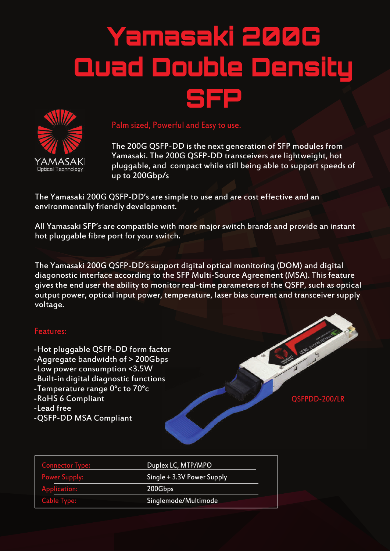# Yamasaki 200G Quad Double Density SS=



### Palm sized, Powerful and Easy to use.

The 200G QSFP-DD is the next generation of SFP modules from Yamasaki. The 200G QSFP-DD transceivers are lightweight, hot pluggable, and compact while still being able to support speeds of up to 200Gbp/s

The Yamasaki 200G QSFP-DD's are simple to use and are cost effective and an environmentally friendly development.

All Yamasaki SFP's are compatible with more major switch brands and provide an instant hot pluggable fibre port for your switch.

The Yamasaki 200G QSFP-DD's support digital optical monitoring (DOM) and digital diagonostic interface according to the SFP Multi-Source Agreement (MSA). This feature gives the end user the ability to monitor real-time parameters of the QSFP, such as optical output power, optical input power, temperature, laser bias current and transceiver supply voltage.

#### Features:

-Hot pluggable QSFP-DD form factor -Aggregate bandwidth of > 200Gbps -Low power consumption <3.5W -Built-in digital diagnostic functions -Temperature range 0°c to 70°c -RoHS 6 Compliant -Lead free -QSFP-DD MSA Compliant



| <b>Connector Type:</b> | Duplex LC, MTP/MPO         |  |
|------------------------|----------------------------|--|
| <b>Power Supply:</b>   | Single + 3.3V Power Supply |  |
| Application:           | 200Gbps                    |  |
| <b>Cable Type:</b>     | Singlemode/Multimode       |  |